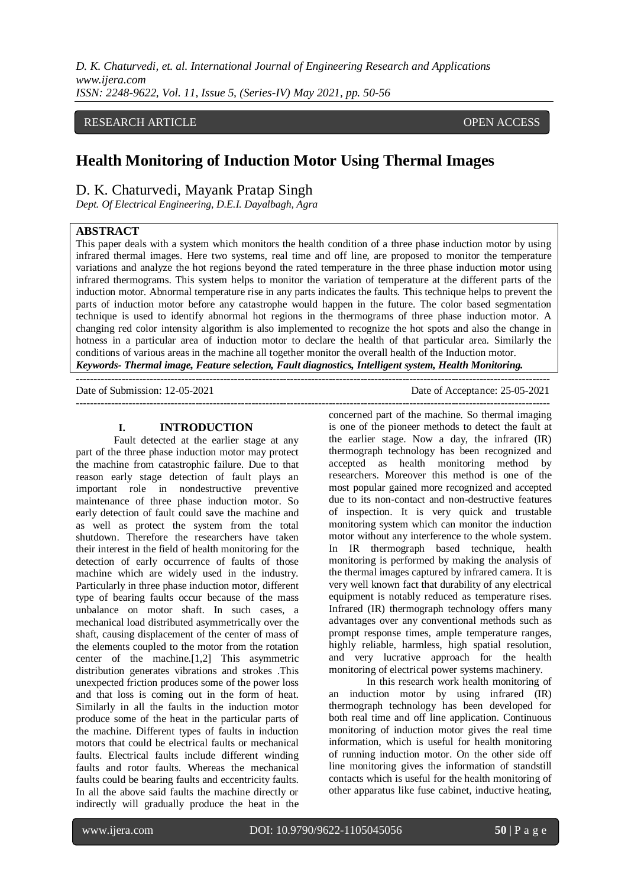## RESEARCH ARTICLE OPEN ACCESS

# **Health Monitoring of Induction Motor Using Thermal Images**

D. K. Chaturvedi, Mayank Pratap Singh

*Dept. Of Electrical Engineering, D.E.I. Dayalbagh, Agra*

### **ABSTRACT**

This paper deals with a system which monitors the health condition of a three phase induction motor by using infrared thermal images. Here two systems, real time and off line, are proposed to monitor the temperature variations and analyze the hot regions beyond the rated temperature in the three phase induction motor using infrared thermograms. This system helps to monitor the variation of temperature at the different parts of the induction motor. Abnormal temperature rise in any parts indicates the faults. This technique helps to prevent the parts of induction motor before any catastrophe would happen in the future. The color based segmentation technique is used to identify abnormal hot regions in the thermograms of three phase induction motor. A changing red color intensity algorithm is also implemented to recognize the hot spots and also the change in hotness in a particular area of induction motor to declare the health of that particular area. Similarly the conditions of various areas in the machine all together monitor the overall health of the Induction motor. *Keywords- Thermal image, Feature selection, Fault diagnostics, Intelligent system, Health Monitoring.*

---------------------------------------------------------------------------------------------------------------------------------------

Date of Submission: 12-05-2021 Date of Acceptance: 25-05-2021

#### **I. INTRODUCTION**

Fault detected at the earlier stage at any part of the three phase induction motor may protect the machine from catastrophic failure. Due to that reason early stage detection of fault plays an important role in nondestructive preventive maintenance of three phase induction motor. So early detection of fault could save the machine and as well as protect the system from the total shutdown. Therefore the researchers have taken their interest in the field of health monitoring for the detection of early occurrence of faults of those machine which are widely used in the industry. Particularly in three phase induction motor, different type of bearing faults occur because of the mass unbalance on motor shaft. In such cases, a mechanical load distributed asymmetrically over the shaft, causing displacement of the center of mass of the elements coupled to the motor from the rotation center of the machine.[1,2] This asymmetric distribution generates vibrations and strokes .This unexpected friction produces some of the power loss and that loss is coming out in the form of heat. Similarly in all the faults in the induction motor produce some of the heat in the particular parts of the machine. Different types of faults in induction motors that could be electrical faults or mechanical faults. Electrical faults include different winding faults and rotor faults. Whereas the mechanical faults could be bearing faults and eccentricity faults. In all the above said faults the machine directly or indirectly will gradually produce the heat in the

-------------------------------------------------------------------------------------------------------------------------------------- concerned part of the machine. So thermal imaging is one of the pioneer methods to detect the fault at the earlier stage. Now a day, the infrared (IR) thermograph technology has been recognized and accepted as health monitoring method by researchers. Moreover this method is one of the most popular gained more recognized and accepted due to its non-contact and non-destructive features of inspection. It is very quick and trustable monitoring system which can monitor the induction motor without any interference to the whole system. In IR thermograph based technique, health monitoring is performed by making the analysis of the thermal images captured by infrared camera. It is very well known fact that durability of any electrical equipment is notably reduced as temperature rises. Infrared (IR) thermograph technology offers many advantages over any conventional methods such as prompt response times, ample temperature ranges, highly reliable, harmless, high spatial resolution, and very lucrative approach for the health monitoring of electrical power systems machinery.

In this research work health monitoring of an induction motor by using infrared (IR) thermograph technology has been developed for both real time and off line application. Continuous monitoring of induction motor gives the real time information, which is useful for health monitoring of running induction motor. On the other side off line monitoring gives the information of standstill contacts which is useful for the health monitoring of other apparatus like fuse cabinet, inductive heating,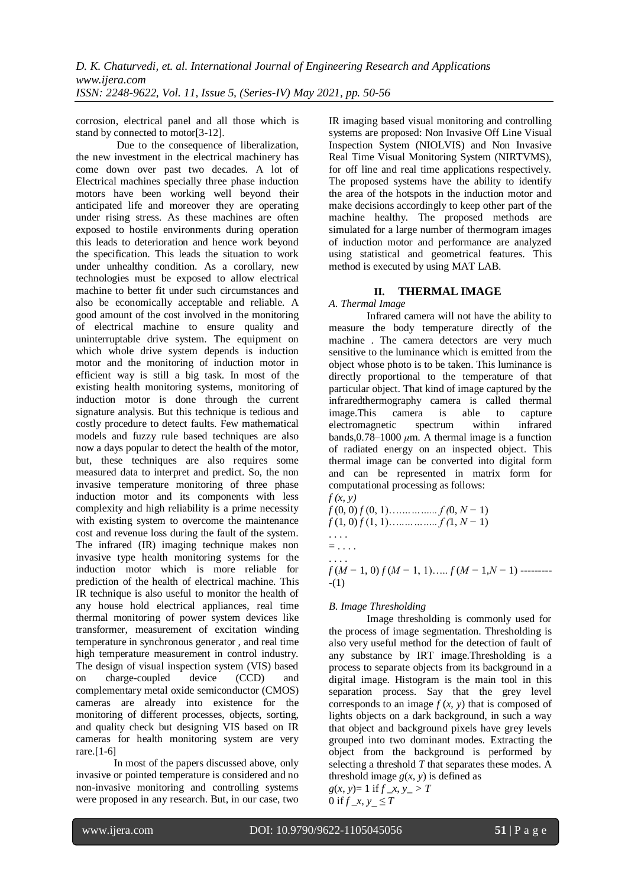corrosion, electrical panel and all those which is stand by connected to motor[3-12].

Due to the consequence of liberalization, the new investment in the electrical machinery has come down over past two decades. A lot of Electrical machines specially three phase induction motors have been working well beyond their anticipated life and moreover they are operating under rising stress. As these machines are often exposed to hostile environments during operation this leads to deterioration and hence work beyond the specification. This leads the situation to work under unhealthy condition. As a corollary, new technologies must be exposed to allow electrical machine to better fit under such circumstances and also be economically acceptable and reliable. A good amount of the cost involved in the monitoring of electrical machine to ensure quality and uninterruptable drive system. The equipment on which whole drive system depends is induction motor and the monitoring of induction motor in efficient way is still a big task. In most of the existing health monitoring systems, monitoring of induction motor is done through the current signature analysis. But this technique is tedious and costly procedure to detect faults. Few mathematical models and fuzzy rule based techniques are also now a days popular to detect the health of the motor, but, these techniques are also requires some measured data to interpret and predict. So, the non invasive temperature monitoring of three phase induction motor and its components with less complexity and high reliability is a prime necessity with existing system to overcome the maintenance cost and revenue loss during the fault of the system. The infrared (IR) imaging technique makes non invasive type health monitoring systems for the induction motor which is more reliable for prediction of the health of electrical machine. This IR technique is also useful to monitor the health of any house hold electrical appliances, real time thermal monitoring of power system devices like transformer, measurement of excitation winding temperature in synchronous generator , and real time high temperature measurement in control industry. The design of visual inspection system (VIS) based on charge-coupled device (CCD) and complementary metal oxide semiconductor (CMOS) cameras are already into existence for the monitoring of different processes, objects, sorting, and quality check but designing VIS based on IR cameras for health monitoring system are very rare.[1-6]

In most of the papers discussed above, only invasive or pointed temperature is considered and no non-invasive monitoring and controlling systems were proposed in any research. But, in our case, two IR imaging based visual monitoring and controlling systems are proposed: Non Invasive Off Line Visual Inspection System (NIOLVIS) and Non Invasive Real Time Visual Monitoring System (NIRTVMS), for off line and real time applications respectively. The proposed systems have the ability to identify the area of the hotspots in the induction motor and make decisions accordingly to keep other part of the machine healthy. The proposed methods are simulated for a large number of thermogram images of induction motor and performance are analyzed using statistical and geometrical features. This method is executed by using MAT LAB.

### **II. THERMAL IMAGE**

#### *A. Thermal Image*

Infrared camera will not have the ability to measure the body temperature directly of the machine . The camera detectors are very much sensitive to the luminance which is emitted from the object whose photo is to be taken. This luminance is directly proportional to the temperature of that particular object. That kind of image captured by the infraredthermography camera is called thermal image.This camera is able to capture electromagnetic spectrum within infrared bands, $0.78-1000 \mu m$ . A thermal image is a function of radiated energy on an inspected object. This thermal image can be converted into digital form and can be represented in matrix form for computational processing as follows:  $f(x, y)$ 

$$
f(0, 0) f(0, 1) \dots f(0, N-1)
$$
  
f(1, 0) f(1, 1) \dots f(1, N-1)  
...  
= ...  

$$
f(M-1, 0) f(M-1, 1) \dots f(M-1, N-1) \dots f(1)
$$

#### *B. Image Thresholding*

Image thresholding is commonly used for the process of image segmentation. Thresholding is also very useful method for the detection of fault of any substance by IRT image.Thresholding is a process to separate objects from its background in a digital image. Histogram is the main tool in this separation process. Say that the grey level corresponds to an image  $f(x, y)$  that is composed of lights objects on a dark background, in such a way that object and background pixels have grey levels grouped into two dominant modes. Extracting the object from the background is performed by selecting a threshold *T* that separates these modes. A threshold image  $g(x, y)$  is defined as  $g(x, y) = 1$  if  $f(x, y) = T$ 

 $0$  if  $f(x, y) \leq T$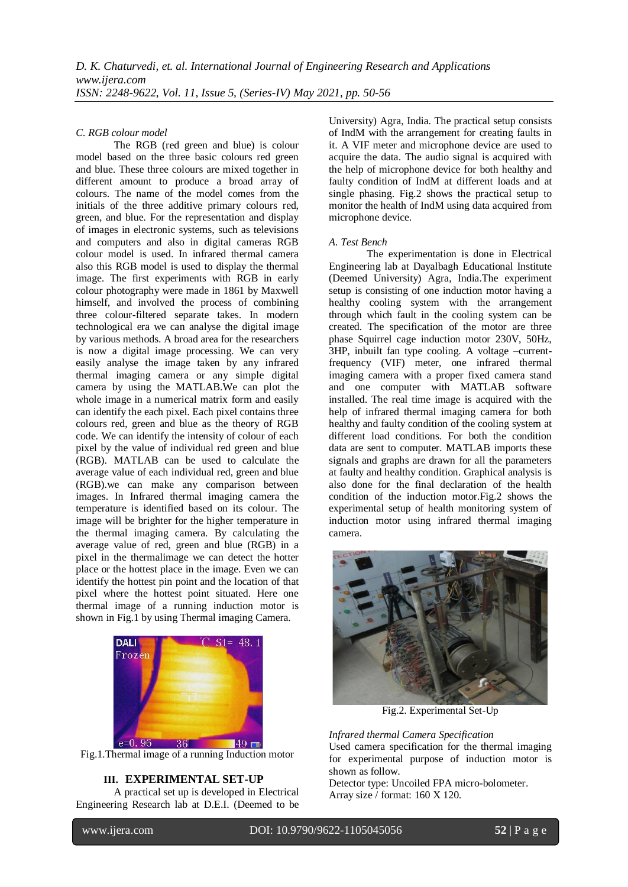#### *C. RGB colour model*

The RGB (red green and blue) is colour model based on the three basic colours red green and blue. These three colours are mixed together in different amount to produce a broad array of colours. The name of the model comes from the initials of the three additive primary colours red, green, and blue. For the representation and display of images in electronic systems, such as televisions and computers and also in digital cameras RGB colour model is used. In infrared thermal camera also this RGB model is used to display the thermal image. The first experiments with RGB in early colour photography were made in 1861 by Maxwell himself, and involved the process of combining three colour-filtered separate takes. In modern technological era we can analyse the digital image by various methods. A broad area for the researchers is now a digital image processing. We can very easily analyse the image taken by any infrared thermal imaging camera or any simple digital camera by using the MATLAB.We can plot the whole image in a numerical matrix form and easily can identify the each pixel. Each pixel contains three colours red, green and blue as the theory of RGB code. We can identify the intensity of colour of each pixel by the value of individual red green and blue (RGB). MATLAB can be used to calculate the average value of each individual red, green and blue (RGB).we can make any comparison between images. In Infrared thermal imaging camera the temperature is identified based on its colour. The image will be brighter for the higher temperature in the thermal imaging camera. By calculating the average value of red, green and blue (RGB) in a pixel in the thermalimage we can detect the hotter place or the hottest place in the image. Even we can identify the hottest pin point and the location of that pixel where the hottest point situated. Here one thermal image of a running induction motor is shown in Fig.1 by using Thermal imaging Camera.



Fig.1.Thermal image of a running Induction motor

#### **III. EXPERIMENTAL SET-UP**

A practical set up is developed in Electrical Engineering Research lab at D.E.I. (Deemed to be University) Agra, India. The practical setup consists of IndM with the arrangement for creating faults in it. A VIF meter and microphone device are used to acquire the data. The audio signal is acquired with the help of microphone device for both healthy and faulty condition of IndM at different loads and at single phasing. Fig.2 shows the practical setup to monitor the health of IndM using data acquired from microphone device.

#### *A. Test Bench*

The experimentation is done in Electrical Engineering lab at Dayalbagh Educational Institute (Deemed University) Agra, India.The experiment setup is consisting of one induction motor having a healthy cooling system with the arrangement through which fault in the cooling system can be created. The specification of the motor are three phase Squirrel cage induction motor 230V, 50Hz, 3HP, inbuilt fan type cooling. A voltage –currentfrequency (VIF) meter, one infrared thermal imaging camera with a proper fixed camera stand and one computer with MATLAB software installed. The real time image is acquired with the help of infrared thermal imaging camera for both healthy and faulty condition of the cooling system at different load conditions. For both the condition data are sent to computer. MATLAB imports these signals and graphs are drawn for all the parameters at faulty and healthy condition. Graphical analysis is also done for the final declaration of the health condition of the induction motor.Fig.2 shows the experimental setup of health monitoring system of induction motor using infrared thermal imaging camera.



Fig.2. Experimental Set-Up

*Infrared thermal Camera Specification*  Used camera specification for the thermal imaging for experimental purpose of induction motor is shown as follow.

Detector type: Uncoiled FPA micro-bolometer. Array size / format: 160 X 120.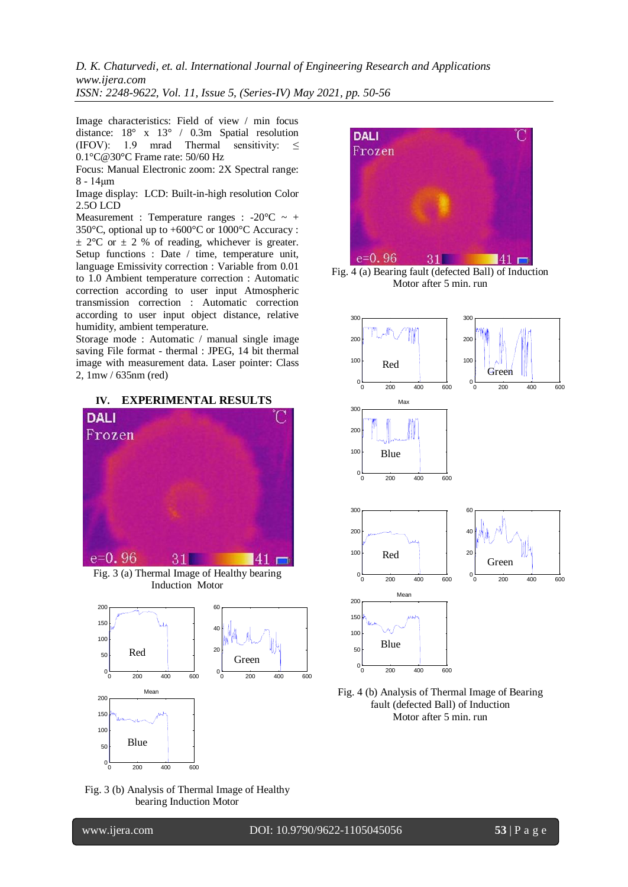Image characteristics: Field of view / min focus distance: 18° x 13° / 0.3m Spatial resolution (IFOV): 1.9 mrad Thermal sensitivity: ≤ 0.1°C@30°C Frame rate: 50/60 Hz

Focus: Manual Electronic zoom: 2X Spectral range: 8 - 14μm

Image display: LCD: Built-in-high resolution Color 2.5O LCD

Measurement : Temperature ranges :  $-20^{\circ}\text{C} \sim +$ 350°C, optional up to +600°C or 1000°C Accuracy :  $\pm$  2°C or  $\pm$  2 % of reading, whichever is greater. Setup functions : Date / time, temperature unit, language Emissivity correction : Variable from 0.01 to 1.0 Ambient temperature correction : Automatic correction according to user input Atmospheric transmission correction : Automatic correction according to user input object distance, relative humidity, ambient temperature.

Storage mode : Automatic / manual single image saving File format - thermal : JPEG, 14 bit thermal image with measurement data. Laser pointer: Class 2, 1mw / 635nm (red)



Fig. 3 (a) Thermal Image of Healthy bearing Induction Motor



Fig. 3 (b) Analysis of Thermal Image of Healthy bearing Induction Motor

0 200 400 600



Fig. 4 (a) Bearing fault (defected Ball) of Induction Motor after 5 min. run



Fig. 4 (b) Analysis of Thermal Image of Bearing fault (defected Ball) of Induction Motor after 5 min. run

 $0<sub>r</sub>$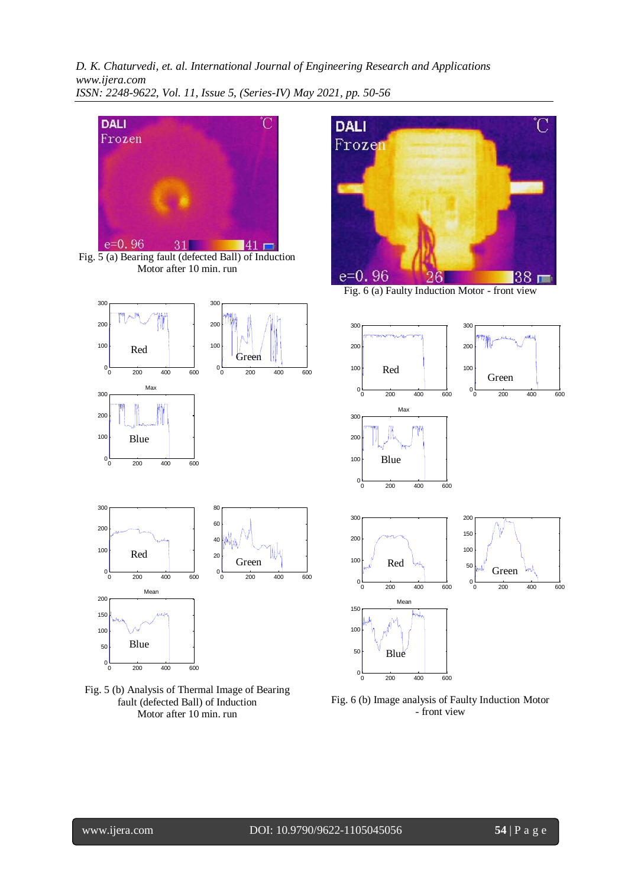

Fig. 5 (a) Bearing fault (defected Ball) of Induction Motor after 10 min. run







Fig. 6 (a) Faulty Induction Motor - front view



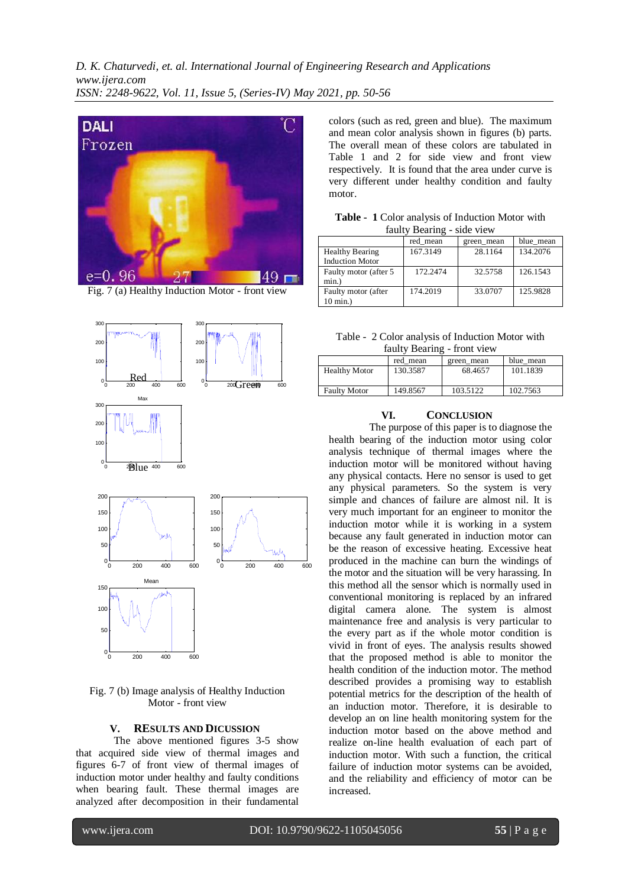

Fig. 7 (a) Healthy Induction Motor - front view



Fig. 7 (b) Image analysis of Healthy Induction Motor - front view

#### **V. RESULTS AND DICUSSION**

The above mentioned figures 3-5 show that acquired side view of thermal images and figures 6-7 of front view of thermal images of induction motor under healthy and faulty conditions when bearing fault. These thermal images are analyzed after decomposition in their fundamental colors (such as red, green and blue). The maximum and mean color analysis shown in figures (b) parts. The overall mean of these colors are tabulated in Table 1 and 2 for side view and front view respectively. It is found that the area under curve is very different under healthy condition and faulty motor.

| <b>Table - 1 Color analysis of Induction Motor with</b> |
|---------------------------------------------------------|
| faulty Bearing - side view                              |

|                        | red mean | green mean | blue mean |  |  |  |
|------------------------|----------|------------|-----------|--|--|--|
| <b>Healthy Bearing</b> | 167.3149 | 28.1164    | 134.2076  |  |  |  |
| <b>Induction Motor</b> |          |            |           |  |  |  |
| Faulty motor (after 5  | 172.2474 | 32.5758    | 126.1543  |  |  |  |
| min.)                  |          |            |           |  |  |  |
| Faulty motor (after    | 174.2019 | 33.0707    | 125.9828  |  |  |  |
| $0 \text{ min.}$       |          |            |           |  |  |  |

Table - 2 Color analysis of Induction Motor with faulty Bearing - front view

| ------------------<br> |          |            |           |  |  |  |
|------------------------|----------|------------|-----------|--|--|--|
|                        | red mean | green mean | blue mean |  |  |  |
| <b>Healthy Motor</b>   | 130.3587 | 68.4657    | 101.1839  |  |  |  |
| <b>Faulty Motor</b>    | 149.8567 | 103.5122   | 102.7563  |  |  |  |

#### **VI. CONCLUSION**

The purpose of this paper is to diagnose the health bearing of the induction motor using color analysis technique of thermal images where the induction motor will be monitored without having any physical contacts. Here no sensor is used to get any physical parameters. So the system is very simple and chances of failure are almost nil. It is very much important for an engineer to monitor the induction motor while it is working in a system because any fault generated in induction motor can be the reason of excessive heating. Excessive heat produced in the machine can burn the windings of the motor and the situation will be very harassing. In this method all the sensor which is normally used in conventional monitoring is replaced by an infrared digital camera alone. The system is almost maintenance free and analysis is very particular to the every part as if the whole motor condition is vivid in front of eyes. The analysis results showed that the proposed method is able to monitor the health condition of the induction motor. The method described provides a promising way to establish potential metrics for the description of the health of an induction motor. Therefore, it is desirable to develop an on line health monitoring system for the induction motor based on the above method and realize on-line health evaluation of each part of induction motor. With such a function, the critical failure of induction motor systems can be avoided, and the reliability and efficiency of motor can be increased.